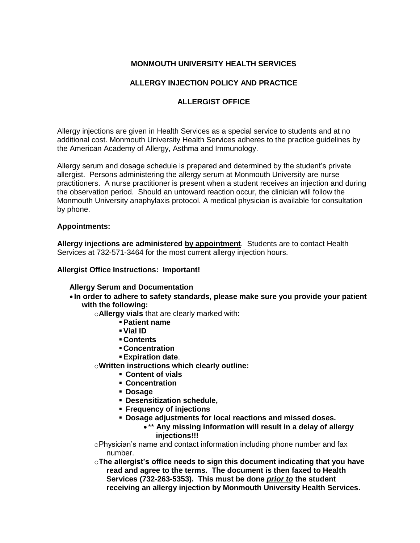# **MONMOUTH UNIVERSITY HEALTH SERVICES**

# **ALLERGY INJECTION POLICY AND PRACTICE**

## **ALLERGIST OFFICE**

Allergy injections are given in Health Services as a special service to students and at no additional cost. Monmouth University Health Services adheres to the practice guidelines by the American Academy of Allergy, Asthma and Immunology.

Allergy serum and dosage schedule is prepared and determined by the student's private allergist. Persons administering the allergy serum at Monmouth University are nurse practitioners. A nurse practitioner is present when a student receives an injection and during the observation period. Should an untoward reaction occur, the clinician will follow the Monmouth University anaphylaxis protocol. A medical physician is available for consultation by phone.

#### **Appointments:**

**Allergy injections are administered by appointment**. Students are to contact Health Services at 732-571-3464 for the most current allergy injection hours.

#### **Allergist Office Instructions: Important!**

#### **Allergy Serum and Documentation**

 **In order to adhere to safety standards, please make sure you provide your patient with the following:**

o**Allergy vials** that are clearly marked with:

- **Patient name**
	- **Vial ID**
	- **Contents**
- **Concentration**
- **Expiration date**.
- o**Written instructions which clearly outline:**
	- **Content of vials**
	- **Concentration**
	- **Dosage**
	- **Desensitization schedule,**
	- **Frequency of injections**
	- **Dosage adjustments for local reactions and missed doses.**
		- \*\* **Any missing information will result in a delay of allergy injections!!!**

oPhysician's name and contact information including phone number and fax number.

o**The allergist's office needs to sign this document indicating that you have read and agree to the terms. The document is then faxed to Health Services (732-263-5353). This must be done** *prior to* **the student receiving an allergy injection by Monmouth University Health Services.**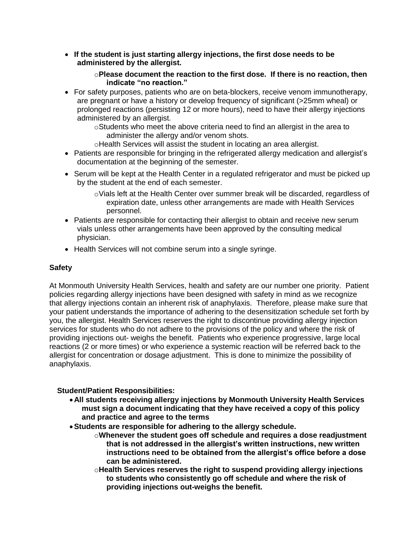**If the student is just starting allergy injections, the first dose needs to be administered by the allergist.**

### o**Please document the reaction to the first dose. If there is no reaction, then indicate "no reaction."**

• For safety purposes, patients who are on beta-blockers, receive venom immunotherapy, are pregnant or have a history or develop frequency of significant (>25mm wheal) or prolonged reactions (persisting 12 or more hours), need to have their allergy injections administered by an allergist.

oStudents who meet the above criteria need to find an allergist in the area to administer the allergy and/or venom shots.

- oHealth Services will assist the student in locating an area allergist.
- Patients are responsible for bringing in the refrigerated allergy medication and allergist's documentation at the beginning of the semester.
- Serum will be kept at the Health Center in a regulated refrigerator and must be picked up by the student at the end of each semester.
	- $\circ$ Vials left at the Health Center over summer break will be discarded, regardless of expiration date, unless other arrangements are made with Health Services personnel.
- Patients are responsible for contacting their allergist to obtain and receive new serum vials unless other arrangements have been approved by the consulting medical physician.
- Health Services will not combine serum into a single syringe.

### **Safety**

At Monmouth University Health Services, health and safety are our number one priority. Patient policies regarding allergy injections have been designed with safety in mind as we recognize that allergy injections contain an inherent risk of anaphylaxis. Therefore, please make sure that your patient understands the importance of adhering to the desensitization schedule set forth by you, the allergist. Health Services reserves the right to discontinue providing allergy injection services for students who do not adhere to the provisions of the policy and where the risk of providing injections out- weighs the benefit. Patients who experience progressive, large local reactions (2 or more times) or who experience a systemic reaction will be referred back to the allergist for concentration or dosage adjustment. This is done to minimize the possibility of anaphylaxis.

### **Student/Patient Responsibilities:**

- **All students receiving allergy injections by Monmouth University Health Services must sign a document indicating that they have received a copy of this policy and practice and agree to the terms**
- **Students are responsible for adhering to the allergy schedule.** 
	- o**Whenever the student goes off schedule and requires a dose readjustment that is not addressed in the allergist's written instructions, new written instructions need to be obtained from the allergist's office before a dose can be administered.**
	- o**Health Services reserves the right to suspend providing allergy injections to students who consistently go off schedule and where the risk of providing injections out-weighs the benefit.**